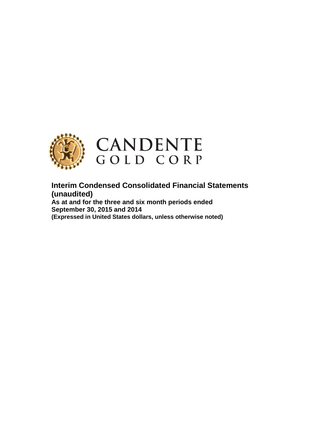

**Interim Condensed Consolidated Financial Statements (unaudited) As at and for the three and six month periods ended September 30, 2015 and 2014**

**(Expressed in United States dollars, unless otherwise noted)**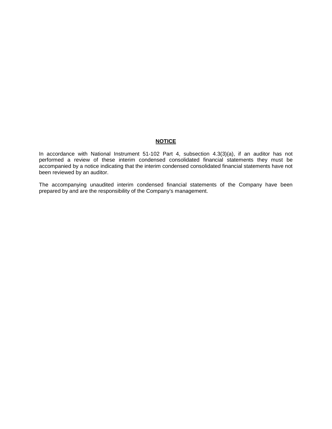# **NOTICE**

In accordance with National Instrument 51-102 Part 4, subsection 4.3(3)(a), if an auditor has not performed a review of these interim condensed consolidated financial statements they must be accompanied by a notice indicating that the interim condensed consolidated financial statements have not been reviewed by an auditor.

The accompanying unaudited interim condensed financial statements of the Company have been prepared by and are the responsibility of the Company's management.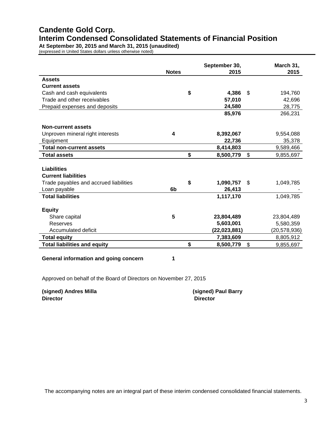# **Candente Gold Corp. Interim Condensed Consolidated Statements of Financial Position**

**At September 30, 2015 and March 31, 2015 (unaudited)** (expressed in United States dollars unless otherwise noted)

|                                        | <b>Notes</b> | September 30,<br>2015 | March 31,<br>2015 |
|----------------------------------------|--------------|-----------------------|-------------------|
| <b>Assets</b>                          |              |                       |                   |
| <b>Current assets</b>                  |              |                       |                   |
| Cash and cash equivalents              | \$           | 4,386                 | \$<br>194,760     |
| Trade and other receivables            |              | 57,010                | 42,696            |
| Prepaid expenses and deposits          |              | 24,580                | 28,775            |
|                                        |              | 85,976                | 266,231           |
| Non-current assets                     |              |                       |                   |
| Unproven mineral right interests       | 4            | 8,392,067             | 9,554,088         |
| Equipment                              |              | 22,736                | 35,378            |
| <b>Total non-current assets</b>        |              | 8,414,803             | 9,589,466         |
| <b>Total assets</b>                    | \$           | 8,500,779             | \$<br>9,855,697   |
|                                        |              |                       |                   |
| <b>Liabilities</b>                     |              |                       |                   |
| <b>Current liabilities</b>             |              |                       |                   |
| Trade payables and accrued liabilities | \$           | 1,090,757             | \$<br>1,049,785   |
| Loan payable                           | 6b           | 26,413                |                   |
| <b>Total liabilities</b>               |              | 1,117,170             | 1,049,785         |
| <b>Equity</b>                          |              |                       |                   |
| Share capital                          | 5            | 23,804,489            | 23,804,489        |
| Reserves                               |              | 5,603,001             | 5,580,359         |
| Accumulated deficit                    |              | (22,023,881)          | (20,578,936)      |
| <b>Total equity</b>                    |              | 7,383,609             | 8,805,912         |
| <b>Total liabilities and equity</b>    | \$           | 8,500,779             | \$<br>9,855,697   |

**General information and going concern 1**

Approved on behalf of the Board of Directors on November 27, 2015

**(signed) Andres Milla (signed) Paul Barry Director Director**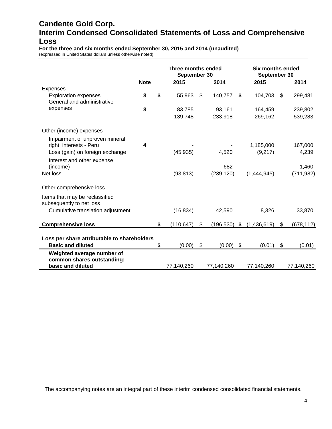# **Candente Gold Corp. Interim Condensed Consolidated Statements of Loss and Comprehensive Loss**

**For the three and six months ended September 30, 2015 and 2014 (unaudited)**

(expressed in United States dollars unless otherwise noted)

|                                                            |             | Three months ended<br>September 30 |                |            |    | <b>Six months ended</b><br>September 30 |                  |
|------------------------------------------------------------|-------------|------------------------------------|----------------|------------|----|-----------------------------------------|------------------|
|                                                            | <b>Note</b> | 2015                               |                | 2014       |    | 2015                                    | 2014             |
| Expenses                                                   |             |                                    |                |            |    |                                         |                  |
| <b>Exploration expenses</b><br>General and administrative  | 8           | \$<br>55,963                       | $\mathfrak{L}$ | 140,757    | \$ | 104,703                                 | \$<br>299,481    |
| expenses                                                   | 8           | 83,785                             |                | 93,161     |    | 164,459                                 | 239,802          |
|                                                            |             | 139,748                            |                | 233,918    |    | 269,162                                 | 539,283          |
| Other (income) expenses                                    |             |                                    |                |            |    |                                         |                  |
| Impairment of unproven mineral<br>right interests - Peru   | 4           |                                    |                |            |    | 1,185,000                               | 167,000          |
| Loss (gain) on foreign exchange                            |             | (45, 935)                          |                | 4,520      |    | (9,217)                                 | 4,239            |
| Interest and other expense<br>(income)                     |             |                                    |                | 682        |    |                                         | 1,460            |
| Net loss                                                   |             | (93, 813)                          |                | (239, 120) |    | (1,444,945)                             | (711, 982)       |
| Other comprehensive loss                                   |             |                                    |                |            |    |                                         |                  |
| Items that may be reclassified<br>subsequently to net loss |             |                                    |                |            |    |                                         |                  |
| Cumulative translation adjustment                          |             | (16, 834)                          |                | 42,590     |    | 8,326                                   | 33,870           |
| <b>Comprehensive loss</b>                                  |             | \$<br>(110, 647)                   | \$             | (196, 530) | S. | (1,436,619)                             | \$<br>(678, 112) |
|                                                            |             |                                    |                |            |    |                                         |                  |
| Loss per share attributable to shareholders                |             |                                    |                |            |    |                                         |                  |
| <b>Basic and diluted</b>                                   |             | \$<br>(0.00)                       | \$             | (0.00)     | \$ | (0.01)                                  | \$<br>(0.01)     |
| Weighted average number of<br>common shares outstanding:   |             |                                    |                |            |    |                                         |                  |
| basic and diluted                                          |             | 77,140,260                         |                | 77,140,260 |    | 77,140,260                              | 77,140,260       |

The accompanying notes are an integral part of these interim condensed consolidated financial statements.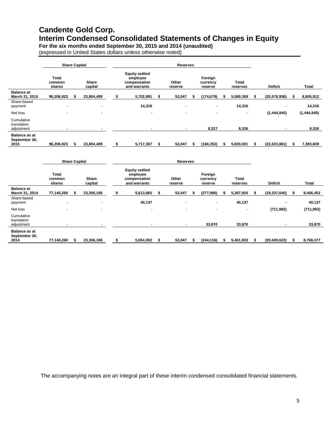# **Candente Gold Corp. Interim Condensed Consolidated Statements of Changes in Equity**

**For the six months ended September 30, 2015 and 2014 (unaudited)**

(expressed in United States dollars unless otherwise noted)

|                                               |                                  | <b>Share Capital</b> |                         | <b>Reserves</b>                                                   |      |                  |  |                                |     |                          |  |                          |     |              |
|-----------------------------------------------|----------------------------------|----------------------|-------------------------|-------------------------------------------------------------------|------|------------------|--|--------------------------------|-----|--------------------------|--|--------------------------|-----|--------------|
|                                               | <b>Total</b><br>common<br>shares |                      | <b>Share</b><br>capital | <b>Equity settled</b><br>employee<br>compensation<br>and warrants |      | Other<br>reserve |  | Foreign<br>currency<br>reserve |     | Total<br>reserves        |  | <b>Deficit</b>           |     | <b>Total</b> |
| <b>Balance at</b><br>March 31, 2015           | 96,206,923                       |                      | 23,804,489              | 5,702,991                                                         | S    | 52,047           |  | (174, 679)                     | ЗS. | 5,580,359                |  | (20, 578, 936)           |     | 8,805,912    |
| Share-based<br>payment                        |                                  |                      | ٠                       | 14,316                                                            |      | ٠                |  | ٠                              |     | 14,316                   |  |                          |     | 14,316       |
| Net loss                                      |                                  |                      | $\sim$                  | ٠                                                                 |      | ٠                |  |                                |     | $\overline{\phantom{a}}$ |  | (1,444,945)              |     | (1,444,945)  |
| Cumulative<br>translation<br>adjustment       |                                  |                      | ۰                       | $\overline{\phantom{0}}$                                          |      | ٠                |  | 8,327                          |     | 8,326                    |  | $\overline{\phantom{a}}$ |     | 8,326        |
| <b>Balance as at</b><br>September 30,<br>2015 | 96,206,923                       |                      | 23,804,489              | 5,717,307                                                         | - 56 | 52,047           |  | (166, 352)                     | S   | 5,603,001                |  | (22,023,881)             | эh. | 7,383,609    |

|                                               | <b>Share Capital</b>             |                          | Reserves |                                                                   |    |                          |  |                                |   |                   |   |                |    |            |
|-----------------------------------------------|----------------------------------|--------------------------|----------|-------------------------------------------------------------------|----|--------------------------|--|--------------------------------|---|-------------------|---|----------------|----|------------|
|                                               | <b>Total</b><br>common<br>shares | <b>Share</b><br>capital  |          | <b>Equity settled</b><br>employee<br>compensation<br>and warrants |    | Other<br>reserve         |  | Foreign<br>currency<br>reserve |   | Total<br>reserves |   | <b>Deficit</b> |    | Total      |
| <b>Balance at</b><br>March 31, 2014           | 77,140,260                       | 23,356,166               | ъ        | 5,613,865                                                         | -S | 52,047                   |  | (277, 986)                     | ъ | 5,387,926         | S | (19, 337, 640) | S. | 9,406,452  |
| Share-based<br>payment                        | $\overline{\phantom{0}}$         | $\sim$                   |          | 40,137                                                            |    | $\overline{\phantom{a}}$ |  | $\overline{a}$                 |   | 40,137            |   |                |    | 40,137     |
| Net loss                                      |                                  | $\overline{\phantom{0}}$ |          |                                                                   |    | ٠                        |  | $\overline{\phantom{a}}$       |   |                   |   | (711, 982)     |    | (711, 982) |
| Cumulative<br>translation<br>adjustment       |                                  |                          |          |                                                                   |    | ۰                        |  | 33,870                         |   | 33,870            |   | ٠              |    | 33,870     |
| <b>Balance as at</b><br>September 30,<br>2014 | 77,140,260                       | 23,356,166               |          | 5,654,002                                                         |    | 52,047                   |  | (244, 116)                     |   | 5,461,933         |   | (20,049,622)   |    | 8,768,477  |

The accompanying notes are an integral part of these interim condensed consolidated financial statements.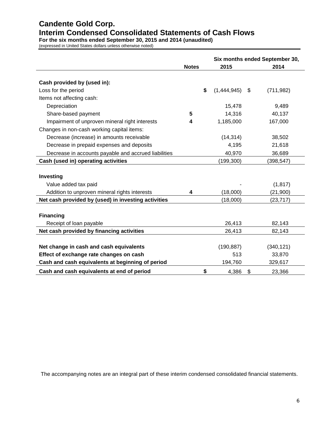# **Candente Gold Corp. Interim Condensed Consolidated Statements of Cash Flows**

**For the six months ended September 30, 2015 and 2014 (unaudited)**

(expressed in United States dollars unless otherwise noted)

|                                                      |              |                   | Six months ended September 30, |            |  |  |
|------------------------------------------------------|--------------|-------------------|--------------------------------|------------|--|--|
|                                                      | <b>Notes</b> | 2015              |                                | 2014       |  |  |
|                                                      |              |                   |                                |            |  |  |
| Cash provided by (used in):                          |              |                   |                                |            |  |  |
| Loss for the period                                  |              | \$<br>(1,444,945) | $\mathfrak s$                  | (711, 982) |  |  |
| Items not affecting cash:                            |              |                   |                                |            |  |  |
| Depreciation                                         |              | 15,478            |                                | 9,489      |  |  |
| Share-based payment                                  | 5            | 14,316            |                                | 40,137     |  |  |
| Impairment of unproven mineral right interests       | 4            | 1,185,000         |                                | 167,000    |  |  |
| Changes in non-cash working capital items:           |              |                   |                                |            |  |  |
| Decrease (increase) in amounts receivable            |              | (14, 314)         |                                | 38,502     |  |  |
| Decrease in prepaid expenses and deposits            |              | 4,195             |                                | 21,618     |  |  |
| Decrease in accounts payable and accrued liabilities |              | 40,970            |                                | 36,689     |  |  |
| Cash (used in) operating activities                  |              | (199, 300)        |                                | (398, 547) |  |  |
|                                                      |              |                   |                                |            |  |  |
| Investing                                            |              |                   |                                |            |  |  |
| Value added tax paid                                 |              |                   |                                | (1, 817)   |  |  |
| Addition to unproven mineral rights interests        | 4            | (18,000)          |                                | (21, 900)  |  |  |
| Net cash provided by (used) in investing activities  |              | (18,000)          |                                | (23, 717)  |  |  |
|                                                      |              |                   |                                |            |  |  |
| <b>Financing</b>                                     |              |                   |                                |            |  |  |
| Receipt of loan payable                              |              | 26,413            |                                | 82,143     |  |  |
| Net cash provided by financing activities            |              | 26,413            |                                | 82,143     |  |  |
|                                                      |              |                   |                                |            |  |  |
| Net change in cash and cash equivalents              |              | (190, 887)        |                                | (340, 121) |  |  |
| Effect of exchange rate changes on cash              |              | 513               |                                | 33,870     |  |  |
| Cash and cash equivalents at beginning of period     |              | 194,760           |                                | 329,617    |  |  |
| Cash and cash equivalents at end of period           |              | \$<br>4,386       | \$                             | 23,366     |  |  |

The accompanying notes are an integral part of these interim condensed consolidated financial statements.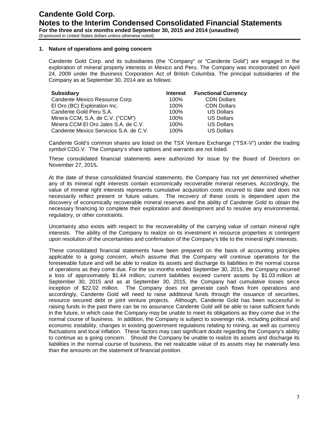#### **1. Nature of operations and going concern**

Candente Gold Corp. and its subsidiaries (the "Company" or "Candente Gold") are engaged in the exploration of mineral property interests in Mexico and Peru. The Company was incorporated on April 24, 2009 under the Business Corporation Act of British Columbia. The principal subsidiaries of the Company as at September 30, 2014 are as follows:

| <b>Subsidiary</b>                      | <b>Interest</b> | <b>Functional Currency</b> |
|----------------------------------------|-----------------|----------------------------|
| Candente Mexico Resource Corp.         | 100%            | <b>CDN Dollars</b>         |
| El Oro (BC) Exploration Inc.           | 100%            | <b>CDN Dollars</b>         |
| Candente Gold Peru S.A.                | 100%            | <b>US Dollars</b>          |
| Minera CCM, S.A. de C.V. ("CCM")       | 100%            | <b>US Dollars</b>          |
| Minera CCM El Oro Jales S.A. de C.V.   | 100%            | <b>US Dollars</b>          |
| Candente Mexico Servicios S.A. de C.V. | $100\%$         | <b>US Dollars</b>          |

Candente Gold's common shares are listed on the TSX Venture Exchange ("TSX-V") under the trading symbol CDG.V. The Company's share options and warrants are not listed.

These consolidated financial statements were authorized for issue by the Board of Directors on November 27, 2015**.**

At the date of these consolidated financial statements, the Company has not yet determined whether any of its mineral right interests contain economically recoverable mineral reserves. Accordingly, the value of mineral right interests represents cumulative acquisition costs incurred to date and does not necessarily reflect present or future values. The recovery of these costs is dependent upon the discovery of economically recoverable mineral reserves and the ability of Candente Gold to obtain the necessary financing to complete their exploration and development and to resolve any environmental, regulatory, or other constraints.

Uncertainty also exists with respect to the recoverability of the carrying value of certain mineral right interests. The ability of the Company to realize on its investment in resource properties is contingent upon resolution of the uncertainties and confirmation of the Company's title to the mineral right interests.

These consolidated financial statements have been prepared on the basis of accounting principles applicable to a going concern, which assume that the Company will continue operations for the foreseeable future and will be able to realize its assets and discharge its liabilities in the normal course of operations as they come due. For the six months ended September 30, 2015, the Company incurred a loss of approximately \$1.44 million, current liabilities exceed current assets by \$1.03 million at September 30, 2015 and as at September 30, 2015, the Company had cumulative losses since inception of \$22.02 million. The Company does not generate cash flows from operations and accordingly, Candente Gold will need to raise additional funds through the issuance of securities, resource secured debt or joint venture projects. Although, Candente Gold has been successful in raising funds in the past there can be no assurance Candente Gold will be able to raise sufficient funds in the future, in which case the Company may be unable to meet its obligations as they come due in the normal course of business. In addition, the Company is subject to sovereign risk, including political and economic instability, changes in existing government regulations relating to mining, as well as currency fluctuations and local inflation. These factors may cast significant doubt regarding the Company's ability to continue as a going concern. Should the Company be unable to realize its assets and discharge its liabilities in the normal course of business, the net realizable value of its assets may be materially less than the amounts on the statement of financial position.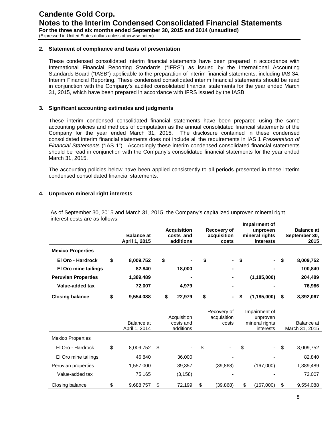#### **2. Statement of compliance and basis of presentation**

These condensed consolidated interim financial statements have been prepared in accordance with International Financial Reporting Standards ("IFRS") as issued by the International Accounting Standards Board ("IASB") applicable to the preparation of interim financial statements, including IAS 34, Interim Financial Reporting. These condensed consolidated interim financial statements should be read in conjunction with the Company's audited consolidated financial statements for the year ended March 31, 2015, which have been prepared in accordance with IFRS issued by the IASB.

# **3. Significant accounting estimates and judgments**

These interim condensed consolidated financial statements have been prepared using the same accounting policies and methods of computation as the annual consolidated financial statements of the Company for the year ended March 31, 2015. The disclosure contained in these condensed consolidated interim financial statements does not include all the requirements in IAS 1 *Presentation of Financial Statements* ("IAS 1"). Accordingly these interim condensed consolidated financial statements should be read in conjunction with the Company's consolidated financial statements for the year ended March 31, 2015.

The accounting policies below have been applied consistently to all periods presented in these interim condensed consolidated financial statements.

# **4. Unproven mineral right interests**

As of September 30, 2015 and March 31, 2015, the Company's capitalized unproven mineral right interest costs are as follows: **Impairment of** 

|                            | <b>Balance at</b><br>April 1, 2015 | <b>Acquisition</b><br>costs and<br>additions | Recovery of<br>acquisition<br>costs |     | <u>Impairment</u> of<br>unproven<br>mineral rights<br>interests | <b>Balance at</b><br>September 30,<br>2015 |
|----------------------------|------------------------------------|----------------------------------------------|-------------------------------------|-----|-----------------------------------------------------------------|--------------------------------------------|
| <b>Mexico Properties</b>   |                                    |                                              |                                     |     |                                                                 |                                            |
| El Oro - Hardrock          | \$<br>8,009,752                    | \$<br>۰.                                     | \$<br>$\sim 10^{-11}$               | -\$ | $\sim$                                                          | \$<br>8,009,752                            |
| El Oro mine tailings       | 82.840                             | 18.000                                       | $\blacksquare$                      |     |                                                                 | 100,840                                    |
| <b>Peruvian Properties</b> | 1,389,489                          |                                              | ۰                                   |     | (1, 185, 000)                                                   | 204,489                                    |
| Value-added tax            | 72,007                             | 4.979                                        | ۰                                   |     |                                                                 | 76,986                                     |
| <b>Closing balance</b>     | 9.554.088                          | \$<br>22.979                                 | \$<br>$\sim$                        |     | (1, 185, 000)                                                   | \$<br>8,392,067                            |

|                          | Balance at<br>April 1, 2014 |      | Acquisition<br>costs and<br>additions | Recovery of<br>acquisition<br>costs | Impairment of<br>unproven<br>mineral rights<br>interests | Balance at<br>March 31, 2015 |
|--------------------------|-----------------------------|------|---------------------------------------|-------------------------------------|----------------------------------------------------------|------------------------------|
| <b>Mexico Properties</b> |                             |      |                                       |                                     |                                                          |                              |
| El Oro - Hardrock        | \$<br>8,009,752             | - \$ | ۰.                                    | \$<br>٠                             | \$<br>$\sim$                                             | \$<br>8,009,752              |
| El Oro mine tailings     | 46,840                      |      | 36,000                                | ۰                                   |                                                          | 82,840                       |
| Peruvian properties      | 1,557,000                   |      | 39,357                                | (39, 868)                           | (167,000)                                                | 1,389,489                    |
| Value-added tax          | 75,165                      |      | (3, 158)                              |                                     |                                                          | 72,007                       |
| Closing balance          | \$<br>9,688,757             | \$   | 72,199                                | \$<br>(39,868)                      | \$<br>(167,000)                                          | \$<br>9,554,088              |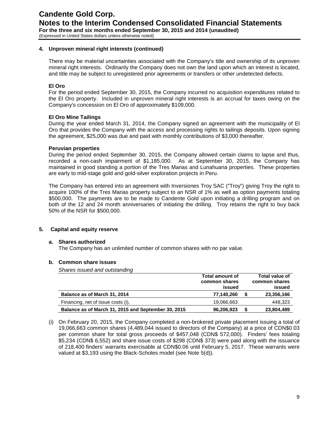# **4. Unproven mineral right interests (continued)**

There may be material uncertainties associated with the Company's title and ownership of its unproven mineral right interests. Ordinarily the Company does not own the land upon which an interest is located, and title may be subject to unregistered prior agreements or transfers or other undetected defects.

# **El Oro**

For the period ended September 30, 2015, the Company incurred no acquisition expenditures related to the El Oro property. Included in unproven mineral right interests is an accrual for taxes owing on the Company's concession on El Oro of approximately \$109,000.

# **El Oro Mine Tailings**

During the year ended March 31, 2014, the Company signed an agreement with the municipality of El Oro that provides the Company with the access and processing rights to tailings deposits. Upon signing the agreement, \$25,000 was due and paid with monthly contributions of \$3,000 thereafter.

#### **Peruvian properties**

During the period ended September 30, 2015, the Company allowed certain claims to lapse and thus, recorded a non-cash impairment of \$1,185,000. As at September 30, 2015, the Company has maintained in good standing a portion of the Tres Marias and Lunahuana properties. These properties are early to mid-stage gold and gold-silver exploration projects in Peru.

The Company has entered into an agreement with Inversiones Troy SAC ("Troy") giving Troy the right to acquire 100% of the Tres Marias property subject to an NSR of 1% as well as option payments totaling \$500,000. The payments are to be made to Candente Gold upon initiating a drilling program and on both of the 12 and 24 month anniversaries of initiating the drilling. Troy retains the right to buy back 50% of the NSR for \$500,000.

# **5. Capital and equity reserve**

#### **a. Shares authorized**

The Company has an unlimited number of common shares with no par value.

#### **b. Common share issues**

*Shares issued and outstanding*

|                                                     | <b>Total amount of</b> | Total value of |
|-----------------------------------------------------|------------------------|----------------|
|                                                     | common shares          | common shares  |
|                                                     | issued                 | issued         |
| Balance as of March 31, 2014                        | 77.140.260             | 23,356,166     |
| Financing, net of issue costs (i),                  | 19,066,663             | 448,323        |
| Balance as of March 31, 2015 and September 30, 2015 | 96,206,923             | 23,804,489     |

(i) On February 20, 2015, the Company completed a non-brokered private placement issuing a total of 19,066,663 common shares (4,489,044 issued to directors of the Company) at a price of CDN\$0.03 per common share for total gross proceeds of \$457,048 (CDN\$ 572,000). Finders' fees totaling \$5,234 (CDN\$ 6,552) and share issue costs of \$298 (CDN\$ 373) were paid along with the issuance of 218,400 finders' warrants exercisable at CDN\$0.06 until February 5, 2017. These warrants were valued at \$3,193 using the Black-Scholes model (see Note 5(d)).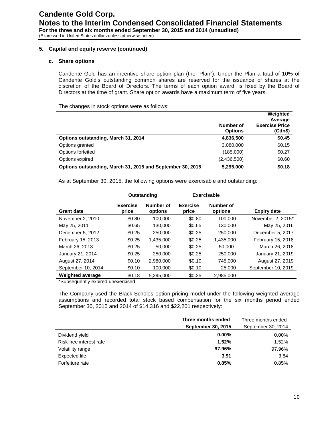# **5. Capital and equity reserve (continued)**

#### **c. Share options**

Candente Gold has an incentive share option plan (the "Plan"). Under the Plan a total of 10% of Candente Gold's outstanding common shares are reserved for the issuance of shares at the discretion of the Board of Directors. The terms of each option award, is fixed by the Board of Directors at the time of grant. Share option awards have a maximum term of five years.

The changes in stock options were as follows:

|                                                            |                             | Weighted<br>Average              |
|------------------------------------------------------------|-----------------------------|----------------------------------|
|                                                            | Number of<br><b>Options</b> | <b>Exercise Price</b><br>(Cdn\$) |
| Options outstanding, March 31, 2014                        | 4,836,500                   | \$0.45                           |
| Options granted                                            | 3,080,000                   | \$0.15                           |
| Options forfeited                                          | (185,000)                   | \$0.27                           |
| Options expired                                            | (2,436,500)                 | \$0.60                           |
| Options outstanding, March 31, 2015 and September 30, 2015 | 5,295,000                   | \$0.18                           |

As at September 30, 2015, the following options were exercisable and outstanding:

|                         | Outstanding              |                      | <b>Exercisable</b>       |                      |                    |
|-------------------------|--------------------------|----------------------|--------------------------|----------------------|--------------------|
| <b>Grant date</b>       | <b>Exercise</b><br>price | Number of<br>options | <b>Exercise</b><br>price | Number of<br>options | <b>Expiry date</b> |
| November 2, 2010        | \$0.80                   | 100.000              | \$0.80                   | 100.000              | November 2, 2015*  |
| May 25, 2011            | \$0.65                   | 130.000              | \$0.65                   | 130.000              | May 25, 2016       |
| December 5, 2012        | \$0.25                   | 250,000              | \$0.25                   | 250,000              | December 5, 2017   |
| February 15, 2013       | \$0.25                   | 1,435,000            | \$0.25                   | 1,435,000            | February 15, 2018  |
| March 26, 2013          | \$0.25                   | 50,000               | \$0.25                   | 50,000               | March 26, 2018     |
| January 21, 2014        | \$0.25                   | 250,000              | \$0.25                   | 250,000              | January 21, 2019   |
| August 27, 2014         | \$0.10                   | 2.980.000            | \$0.10                   | 745.000              | August 27, 2019    |
| September 10, 2014      | \$0.10                   | 100,000              | \$0.10                   | 25,000               | September 10, 2019 |
| <b>Weighted average</b> | \$0.18                   | 5,295,000            | \$0.25                   | 2,985,000            |                    |

\*Subsequently expired unexercised

The Company used the Black-Scholes option-pricing model under the following weighted average assumptions and recorded total stock based compensation for the six months period ended September 30, 2015 and 2014 of \$14,316 and \$22,201 respectively:

|                         | Three months ended        | Three months ended |
|-------------------------|---------------------------|--------------------|
|                         | <b>September 30, 2015</b> | September 30, 2014 |
| Dividend yield          | $0.00\%$                  | $0.00\%$           |
| Risk-free interest rate | 1.52%                     | 1.52%              |
| Volatility range        | 97.96%                    | 97.96%             |
| Expected life           | 3.91                      | 3.84               |
| Forfeiture rate         | 0.85%                     | 0.85%              |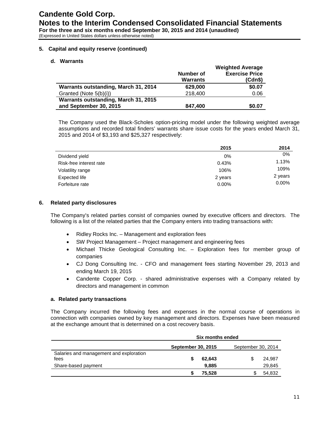# **5. Capital and equity reserve (continued)**

#### **d. Warrants**

|                                      |                 | <b>Weighted Average</b> |
|--------------------------------------|-----------------|-------------------------|
|                                      | Number of       | <b>Exercise Price</b>   |
|                                      | <b>Warrants</b> | (Cdn\$)                 |
| Warrants outstanding, March 31, 2014 | 629,000         | \$0.07                  |
| Granted (Note 5(b)(i))               | 218,400         | 0.06                    |
| Warrants outstanding, March 31, 2015 |                 |                         |
| and September 30, 2015               | 847.400         | \$0.07                  |
|                                      |                 |                         |

The Company used the Black-Scholes option-pricing model under the following weighted average assumptions and recorded total finders' warrants share issue costs for the years ended March 31, 2015 and 2014 of \$3,193 and \$25,327 respectively:

|                         | 2015     | 2014     |
|-------------------------|----------|----------|
| Dividend yield          | $0\%$    | 0%       |
| Risk-free interest rate | 0.43%    | 1.13%    |
| Volatility range        | 106%     | 109%     |
| Expected life           | 2 years  | 2 years  |
| Forfeiture rate         | $0.00\%$ | $0.00\%$ |

#### **6. Related party disclosures**

The Company's related parties consist of companies owned by executive officers and directors. The following is a list of the related parties that the Company enters into trading transactions with:

- Ridley Rocks Inc. Management and exploration fees
- SW Project Management Project management and engineering fees
- Michael Thicke Geological Consulting Inc. Exploration fees for member group of companies
- CJ Dong Consulting Inc. CFO and management fees starting November 29, 2013 and ending March 19, 2015
- Candente Copper Corp. shared administrative expenses with a Company related by directors and management in common

#### **a. Related party transactions**

The Company incurred the following fees and expenses in the normal course of operations in connection with companies owned by key management and directors. Expenses have been measured at the exchange amount that is determined on a cost recovery basis.

|                                                 | Six months ended          |        |                    |        |  |  |  |  |
|-------------------------------------------------|---------------------------|--------|--------------------|--------|--|--|--|--|
|                                                 | <b>September 30, 2015</b> |        | September 30, 2014 |        |  |  |  |  |
| Salaries and management and exploration<br>fees |                           | 62.643 |                    | 24,987 |  |  |  |  |
| Share-based payment                             |                           | 9,885  |                    | 29,845 |  |  |  |  |
|                                                 |                           | 75.528 |                    | 54,832 |  |  |  |  |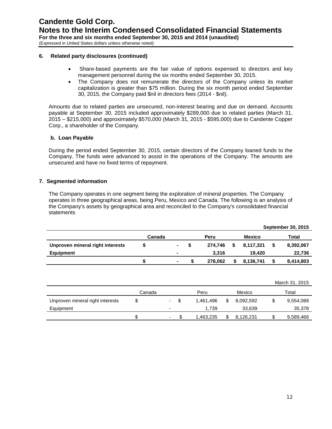#### **6. Related party disclosures (continued)**

- Share-based payments are the fair value of options expensed to directors and key management personnel during the six months ended September 30, 2015.
- The Company does not remunerate the directors of the Company unless its market capitalization is greater than \$75 million. During the six month period ended September 30, 2015, the Company paid \$nil in directors fees (2014 - \$nil).

Amounts due to related parties are unsecured, non-interest bearing and due on demand. Accounts payable at September 30, 2015 included approximately \$289,000 due to related parties (March 31, 2015 – \$215,000) and approximately \$570,000 (March 31, 2015 - \$595,000) due to Candente Copper Corp., a shareholder of the Company.

# **b. Loan Payable**

During the period ended September 30, 2015, certain directors of the Company loaned funds to the Company. The funds were advanced to assist in the operations of the Company. The amounts are unsecured and have no fixed terms of repayment.

# **7. Segmented information**

The Company operates in one segment being the exploration of mineral properties. The Company operates in three geographical areas, being Peru, Mexico and Canada. The following is an analysis of the Company's assets by geographical area and reconciled to the Company's consolidated financial statements

|                                  |        |        |         |      |           | <b>September 30, 2015</b> |
|----------------------------------|--------|--------|---------|------|-----------|---------------------------|
|                                  | Canada |        | Peru    |      | Mexico    | Total                     |
| Unproven mineral right interests |        | $\sim$ | 274.746 | - \$ | 8,117,321 | 8,392,067                 |
| Equipment                        |        |        | 3.316   |      | 19.420    | 22,736                    |
|                                  |        | ۰.     | 278.062 |      | 8,136,741 | 8,414,803                 |

|                                  |        |    |      |           |     |           | March 31, 2015 |
|----------------------------------|--------|----|------|-----------|-----|-----------|----------------|
|                                  | Canada |    |      | Peru      |     | Mexico    | Total          |
| Unproven mineral right interests |        | ۰. | - \$ | 1.461.496 | \$. | 8,092,592 | 9,554,088      |
| Equipment                        |        |    |      | 1.739     |     | 33,639    | 35,378         |
|                                  |        | ۰  |      | 1.463.235 |     | 8.126.231 | 9,589,466      |